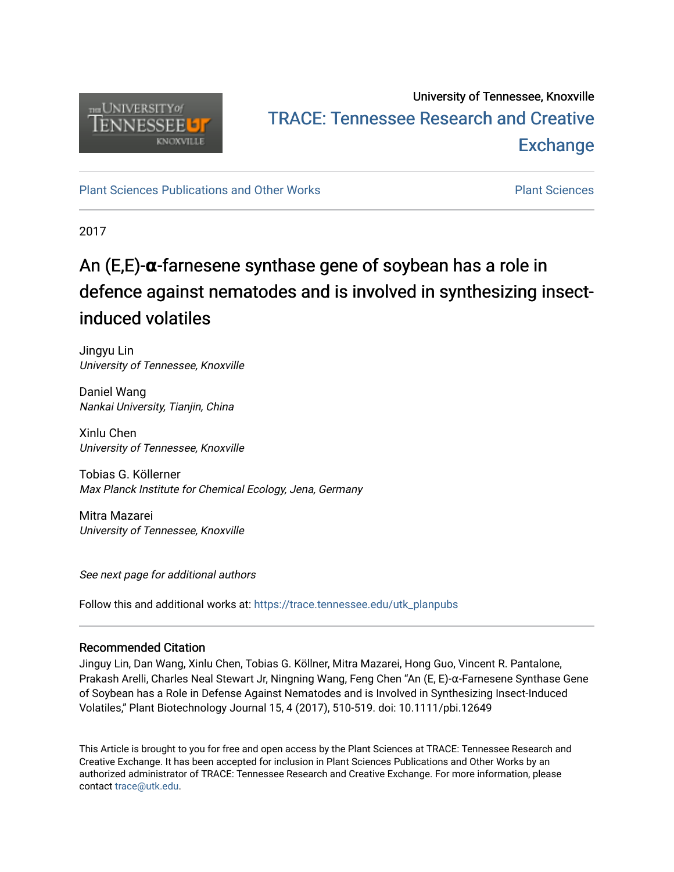

## University of Tennessee, Knoxville TRACE: T[ennessee Research and Cr](https://trace.tennessee.edu/)eative **Exchange**

[Plant Sciences Publications and Other Works](https://trace.tennessee.edu/utk_planpubs) [Plant Sciences](https://trace.tennessee.edu/utk-plan) 

2017

# An (E,E)-**α**-farnesene synthase gene of soybean has a role in defence against nematodes and is involved in synthesizing insectinduced volatiles

Jingyu Lin University of Tennessee, Knoxville

Daniel Wang Nankai University, Tianjin, China

Xinlu Chen University of Tennessee, Knoxville

Tobias G. Köllerner Max Planck Institute for Chemical Ecology, Jena, Germany

Mitra Mazarei University of Tennessee, Knoxville

See next page for additional authors

Follow this and additional works at: [https://trace.tennessee.edu/utk\\_planpubs](https://trace.tennessee.edu/utk_planpubs?utm_source=trace.tennessee.edu%2Futk_planpubs%2F88&utm_medium=PDF&utm_campaign=PDFCoverPages) 

## Recommended Citation

Jinguy Lin, Dan Wang, Xinlu Chen, Tobias G. Köllner, Mitra Mazarei, Hong Guo, Vincent R. Pantalone, Prakash Arelli, Charles Neal Stewart Jr, Ningning Wang, Feng Chen "An (E, E)-α-Farnesene Synthase Gene of Soybean has a Role in Defense Against Nematodes and is Involved in Synthesizing Insect-Induced Volatiles," Plant Biotechnology Journal 15, 4 (2017), 510-519. doi: 10.1111/pbi.12649

This Article is brought to you for free and open access by the Plant Sciences at TRACE: Tennessee Research and Creative Exchange. It has been accepted for inclusion in Plant Sciences Publications and Other Works by an authorized administrator of TRACE: Tennessee Research and Creative Exchange. For more information, please contact [trace@utk.edu](mailto:trace@utk.edu).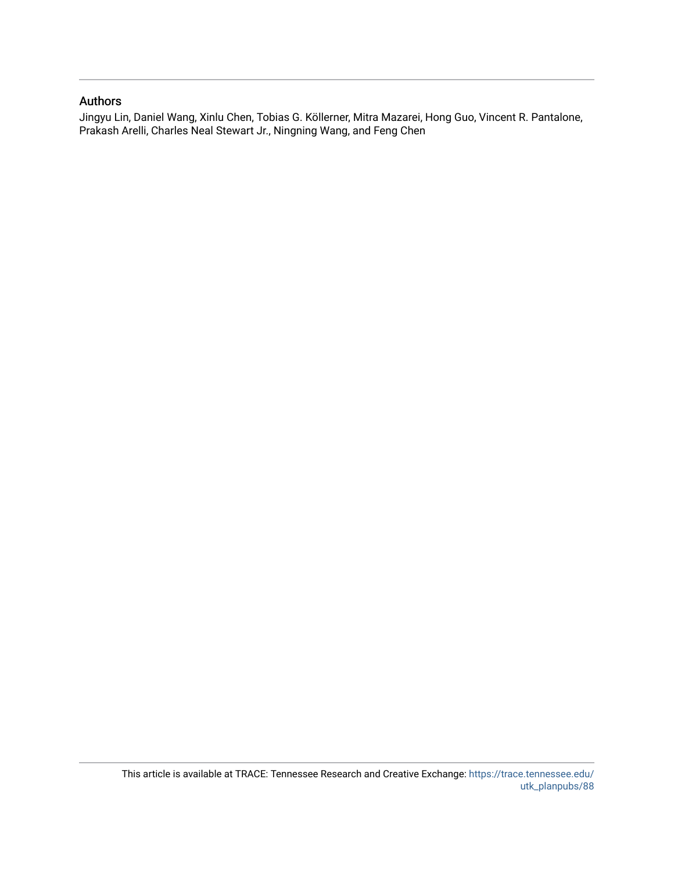## Authors

Jingyu Lin, Daniel Wang, Xinlu Chen, Tobias G. Köllerner, Mitra Mazarei, Hong Guo, Vincent R. Pantalone, Prakash Arelli, Charles Neal Stewart Jr., Ningning Wang, and Feng Chen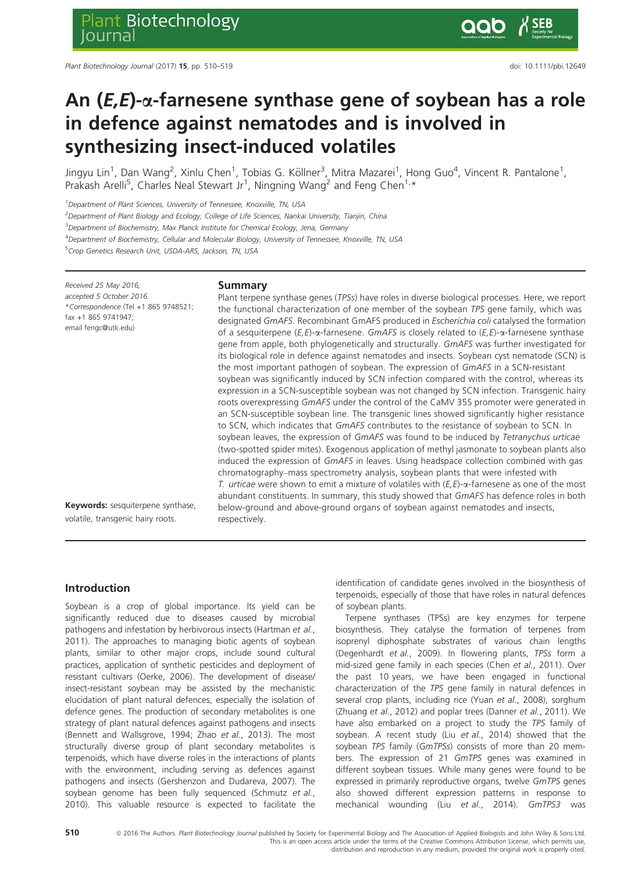## An  $(E,E)$ - $\alpha$ -farnesene synthase gene of soybean has a role in defence against nematodes and is involved in synthesizing insect-induced volatiles

Jingyu Lin<sup>1</sup>, Dan Wang<sup>2</sup>, Xinlu Chen<sup>1</sup>, Tobias G. Köllner<sup>3</sup>, Mitra Mazarei<sup>1</sup>, Hong Guo<sup>4</sup>, Vincent R. Pantalone<sup>1</sup>, Prakash Arelli<sup>5</sup>, Charles Neal Stewart Jr<sup>1</sup>, Ningning Wang<sup>2</sup> and Feng Chen<sup>1,\*</sup>

<sup>1</sup>Department of Plant Sciences, University of Tennessee, Knoxville, TN, USA

<sup>5</sup>Crop Genetics Research Unit, USDA-ARS, Jackson, TN, USA

<sup>2</sup>Department of Plant Biology and Ecology, College of Life Sciences, Nankai University, Tianjin, China

<sup>3</sup>Department of Biochemistry, Max Planck Institute for Chemical Ecology, Jena, Germany

4 Department of Biochemistry, Cellular and Molecular Biology, University of Tennessee, Knoxville, TN, USA

Received 25 May 2016; accepted 5 October 2016. \*Correspondence (Tel +1 865 9748521; fax +1 865 9741947;

email fengc@utk.edu)

#### Summary

Plant terpene synthase genes (TPSs) have roles in diverse biological processes. Here, we report the functional characterization of one member of the soybean TPS gene family, which was designated GmAFS. Recombinant GmAFS produced in Escherichia coli catalysed the formation of a sesquiterpene  $(E, E)$ - $\alpha$ -farnesene. GmAFS is closely related to  $(E, E)$ - $\alpha$ -farnesene synthase gene from apple, both phylogenetically and structurally. GmAFS was further investigated for its biological role in defence against nematodes and insects. Soybean cyst nematode (SCN) is the most important pathogen of soybean. The expression of GmAFS in a SCN-resistant soybean was significantly induced by SCN infection compared with the control, whereas its expression in a SCN-susceptible soybean was not changed by SCN infection. Transgenic hairy roots overexpressing GmAFS under the control of the CaMV 35S promoter were generated in an SCN-susceptible soybean line. The transgenic lines showed significantly higher resistance to SCN, which indicates that GmAFS contributes to the resistance of soybean to SCN. In soybean leaves, the expression of GmAFS was found to be induced by Tetranychus urticae (two-spotted spider mites). Exogenous application of methyl jasmonate to soybean plants also induced the expression of GmAFS in leaves. Using headspace collection combined with gas chromatography–mass spectrometry analysis, soybean plants that were infested with T. urticae were shown to emit a mixture of volatiles with  $(E, E)$ - $\alpha$ -farnesene as one of the most abundant constituents. In summary, this study showed that GmAFS has defence roles in both below-ground and above-ground organs of soybean against nematodes and insects, respectively.

Keywords: sesquiterpene synthase, volatile, transgenic hairy roots.

## Introduction

Soybean is a crop of global importance. Its yield can be significantly reduced due to diseases caused by microbial pathogens and infestation by herbivorous insects (Hartman et al., 2011). The approaches to managing biotic agents of soybean plants, similar to other major crops, include sound cultural practices, application of synthetic pesticides and deployment of resistant cultivars (Oerke, 2006). The development of disease/ insect-resistant soybean may be assisted by the mechanistic elucidation of plant natural defences, especially the isolation of defence genes. The production of secondary metabolites is one strategy of plant natural defences against pathogens and insects (Bennett and Wallsgrove, 1994; Zhao et al., 2013). The most structurally diverse group of plant secondary metabolites is terpenoids, which have diverse roles in the interactions of plants with the environment, including serving as defences against pathogens and insects (Gershenzon and Dudareva, 2007). The soybean genome has been fully sequenced (Schmutz et al., 2010). This valuable resource is expected to facilitate the identification of candidate genes involved in the biosynthesis of terpenoids, especially of those that have roles in natural defences of soybean plants.

Terpene synthases (TPSs) are key enzymes for terpene biosynthesis. They catalyse the formation of terpenes from isoprenyl diphosphate substrates of various chain lengths (Degenhardt et al., 2009). In flowering plants, TPSs form a mid-sized gene family in each species (Chen et al., 2011). Over the past 10 years, we have been engaged in functional characterization of the TPS gene family in natural defences in several crop plants, including rice (Yuan et al., 2008), sorghum (Zhuang et al., 2012) and poplar trees (Danner et al., 2011). We have also embarked on a project to study the TPS family of soybean. A recent study (Liu et al., 2014) showed that the soybean TPS family (GmTPSs) consists of more than 20 members. The expression of 21 GmTPS genes was examined in different soybean tissues. While many genes were found to be expressed in primarily reproductive organs, twelve GmTPS genes also showed different expression patterns in response to mechanical wounding (Liu et al., 2014). GmTPS3 was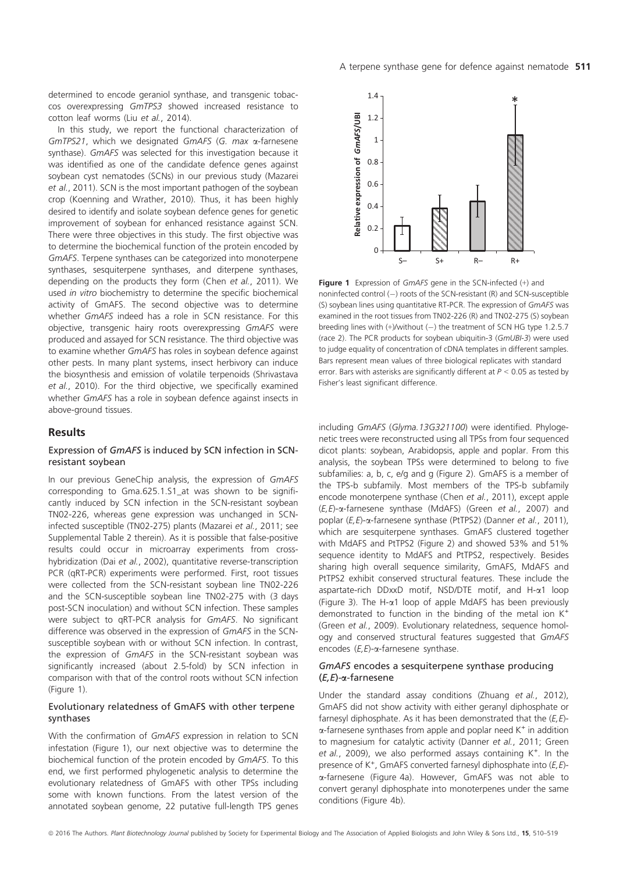determined to encode geraniol synthase, and transgenic tobaccos overexpressing GmTPS3 showed increased resistance to cotton leaf worms (Liu et al., 2014).

In this study, we report the functional characterization of GmTPS21, which we designated GmAFS (G. max a-farnesene synthase). GmAFS was selected for this investigation because it was identified as one of the candidate defence genes against soybean cyst nematodes (SCNs) in our previous study (Mazarei et al., 2011). SCN is the most important pathogen of the soybean crop (Koenning and Wrather, 2010). Thus, it has been highly desired to identify and isolate soybean defence genes for genetic improvement of soybean for enhanced resistance against SCN. There were three objectives in this study. The first objective was to determine the biochemical function of the protein encoded by GmAFS. Terpene synthases can be categorized into monoterpene synthases, sesquiterpene synthases, and diterpene synthases, depending on the products they form (Chen et al., 2011). We used in vitro biochemistry to determine the specific biochemical activity of GmAFS. The second objective was to determine whether GmAFS indeed has a role in SCN resistance. For this objective, transgenic hairy roots overexpressing GmAFS were produced and assayed for SCN resistance. The third objective was to examine whether GmAFS has roles in soybean defence against other pests. In many plant systems, insect herbivory can induce the biosynthesis and emission of volatile terpenoids (Shrivastava et al., 2010). For the third objective, we specifically examined whether GmAFS has a role in soybean defence against insects in above-ground tissues.

#### Results

#### Expression of GmAFS is induced by SCN infection in SCNresistant soybean

In our previous GeneChip analysis, the expression of GmAFS corresponding to Gma.625.1.S1\_at was shown to be significantly induced by SCN infection in the SCN-resistant soybean TN02-226, whereas gene expression was unchanged in SCNinfected susceptible (TN02-275) plants (Mazarei et al., 2011; see Supplemental Table 2 therein). As it is possible that false-positive results could occur in microarray experiments from crosshybridization (Dai et al., 2002), quantitative reverse-transcription PCR (qRT-PCR) experiments were performed. First, root tissues were collected from the SCN-resistant soybean line TN02-226 and the SCN-susceptible soybean line TN02-275 with (3 days post-SCN inoculation) and without SCN infection. These samples were subject to qRT-PCR analysis for GmAFS. No significant difference was observed in the expression of GmAFS in the SCNsusceptible soybean with or without SCN infection. In contrast, the expression of GmAFS in the SCN-resistant soybean was significantly increased (about 2.5-fold) by SCN infection in comparison with that of the control roots without SCN infection (Figure 1).

#### Evolutionary relatedness of GmAFS with other terpene synthases

With the confirmation of GmAFS expression in relation to SCN infestation (Figure 1), our next objective was to determine the biochemical function of the protein encoded by GmAFS. To this end, we first performed phylogenetic analysis to determine the evolutionary relatedness of GmAFS with other TPSs including some with known functions. From the latest version of the annotated soybean genome, 22 putative full-length TPS genes



Figure 1 Expression of GmAFS gene in the SCN-infected (+) and noninfected control  $(-)$  roots of the SCN-resistant (R) and SCN-susceptible (S) soybean lines using quantitative RT-PCR. The expression of GmAFS was examined in the root tissues from TN02-226 (R) and TN02-275 (S) soybean breeding lines with  $(+)$ /without  $(-)$  the treatment of SCN HG type 1.2.5.7 (race 2). The PCR products for soybean ubiquitin-3 (GmUBI-3) were used to judge equality of concentration of cDNA templates in different samples. Bars represent mean values of three biological replicates with standard error. Bars with asterisks are significantly different at  $P < 0.05$  as tested by Fisher's least significant difference.

including GmAFS (Glyma.13G321100) were identified. Phylogenetic trees were reconstructed using all TPSs from four sequenced dicot plants: soybean, Arabidopsis, apple and poplar. From this analysis, the soybean TPSs were determined to belong to five subfamilies: a, b, c, e/g and g (Figure 2). GmAFS is a member of the TPS-b subfamily. Most members of the TPS-b subfamily encode monoterpene synthase (Chen et al., 2011), except apple  $(E, E)$ - $\alpha$ -farnesene synthase (MdAFS) (Green et al., 2007) and poplar  $(E,E)$ - $\alpha$ -farnesene synthase (PtTPS2) (Danner et al., 2011), which are sesquiterpene synthases. GmAFS clustered together with MdAFS and PtTPS2 (Figure 2) and showed 53% and 51% sequence identity to MdAFS and PtTPS2, respectively. Besides sharing high overall sequence similarity, GmAFS, MdAFS and PtTPS2 exhibit conserved structural features. These include the aspartate-rich DDxxD motif, NSD/DTE motif, and H-a1 loop (Figure 3). The H- $\alpha$ 1 loop of apple MdAFS has been previously demonstrated to function in the binding of the metal ion K<sup>+</sup> (Green et al., 2009). Evolutionary relatedness, sequence homology and conserved structural features suggested that GmAFS encodes  $(E, E)$ - $\alpha$ -farnesene synthase.

#### GmAFS encodes a sesquiterpene synthase producing  $(E,E)$ - $\alpha$ -farnesene

Under the standard assay conditions (Zhuang et al., 2012), GmAFS did not show activity with either geranyl diphosphate or farnesyl diphosphate. As it has been demonstrated that the  $(E, E)$ - $\alpha$ -farnesene synthases from apple and poplar need  $K^+$  in addition to magnesium for catalytic activity (Danner et al., 2011; Green et al., 2009), we also performed assays containing  $K^+$ . In the presence of  $K^+$ , GmAFS converted farnesyl diphosphate into  $(E, E)$ a-farnesene (Figure 4a). However, GmAFS was not able to convert geranyl diphosphate into monoterpenes under the same conditions (Figure 4b).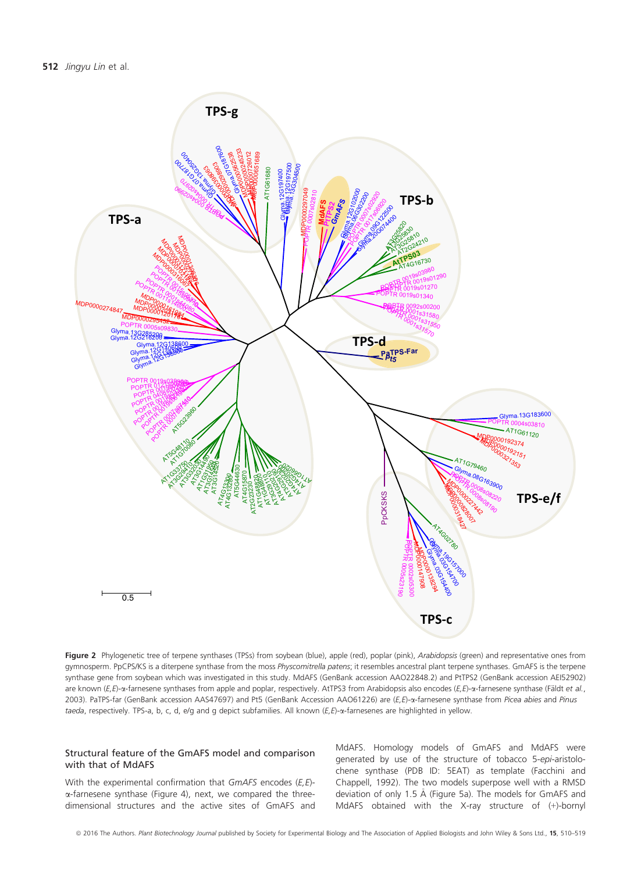

Figure 2 Phylogenetic tree of terpene synthases (TPSs) from soybean (blue), apple (red), poplar (pink), Arabidopsis (green) and representative ones from gymnosperm. PpCPS/KS is a diterpene synthase from the moss Physcomitrella patens; it resembles ancestral plant terpene synthases. GmAFS is the terpene synthase gene from soybean which was investigated in this study. MdAFS (GenBank accession AAO22848.2) and PtTPS2 (GenBank accession AEI52902) are known ( $E, E$ )- $\alpha$ -farnesene synthases from apple and poplar, respectively. AtTPS3 from Arabidopsis also encodes ( $E, E$ )- $\alpha$ -farnesene synthase (Fäldt et al., 2003). PaTPS-far (GenBank accession AAS47697) and Pt5 (GenBank Accession AAO61226) are (E,E)-a-farnesene synthase from Picea abies and Pinus taeda, respectively. TPS-a, b, c, d, e/g and g depict subfamilies. All known (E,E)-a-farnesenes are highlighted in yellow.

#### Structural feature of the GmAFS model and comparison with that of MdAFS

With the experimental confirmation that  $GmAFS$  encodes  $(E, E)$ a-farnesene synthase (Figure 4), next, we compared the threedimensional structures and the active sites of GmAFS and MdAFS. Homology models of GmAFS and MdAFS were generated by use of the structure of tobacco 5-epi-aristolochene synthase (PDB ID: 5EAT) as template (Facchini and Chappell, 1992). The two models superpose well with a RMSD deviation of only 1.5 Å (Figure 5a). The models for GmAFS and MdAFS obtained with the X-ray structure of (+)-bornyl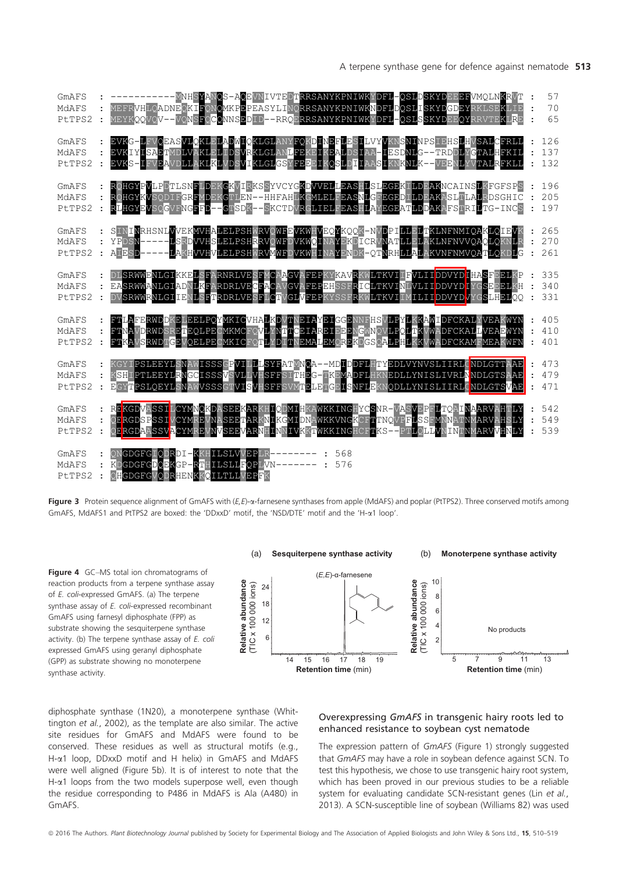

Figure 3 Protein sequence alignment of GmAFS with  $(E, E)$ - $\alpha$ -farnesene synthases from apple (MdAFS) and poplar (PtTPS2). Three conserved motifs among GmAFS, MdAFS1 and PtTPS2 are boxed: the 'DDxxD' motif, the 'NSD/DTE' motif and the 'H-a1 loop'.

**Retention time** (min)

**Figure 4** GC–MS total ion chromatograms of<br>reaction products from a terpene synthase assay<br>of *E*. coli-expressed GmAFS. (a) The terpene<br>synthase assay of *E*. coli-expressed recombinant<br> $\begin{bmatrix}\n\cos(4x) & \cos(4x) & \cos(4x) \\
\cos(4$ reaction products from a terpene synthase assay of E. coli-expressed GmAFS. (a) The terpene synthase assay of E. coli-expressed recombinant GmAFS using farnesyl diphosphate (FPP) as substrate showing the sesquiterpene synthase activity. (b) The terpene synthase assay of E. coli expressed GmAFS using geranyl diphosphate (GPP) as substrate showing no monoterpene synthase activity.



diphosphate synthase (1N20), a monoterpene synthase (Whittington et al., 2002), as the template are also similar. The active site residues for GmAFS and MdAFS were found to be conserved. These residues as well as structural motifs (e.g., H-a1 loop, DDxxD motif and H helix) in GmAFS and MdAFS were well aligned (Figure 5b). It is of interest to note that the H- $\alpha$ 1 loops from the two models superpose well, even though the residue corresponding to P486 in MdAFS is Ala (A480) in GmAFS.

#### Overexpressing GmAFS in transgenic hairy roots led to enhanced resistance to soybean cyst nematode

**Retention time** (min)

The expression pattern of GmAFS (Figure 1) strongly suggested that GmAFS may have a role in soybean defence against SCN. To test this hypothesis, we chose to use transgenic hairy root system, which has been proved in our previous studies to be a reliable system for evaluating candidate SCN-resistant genes (Lin et al., 2013). A SCN-susceptible line of soybean (Williams 82) was used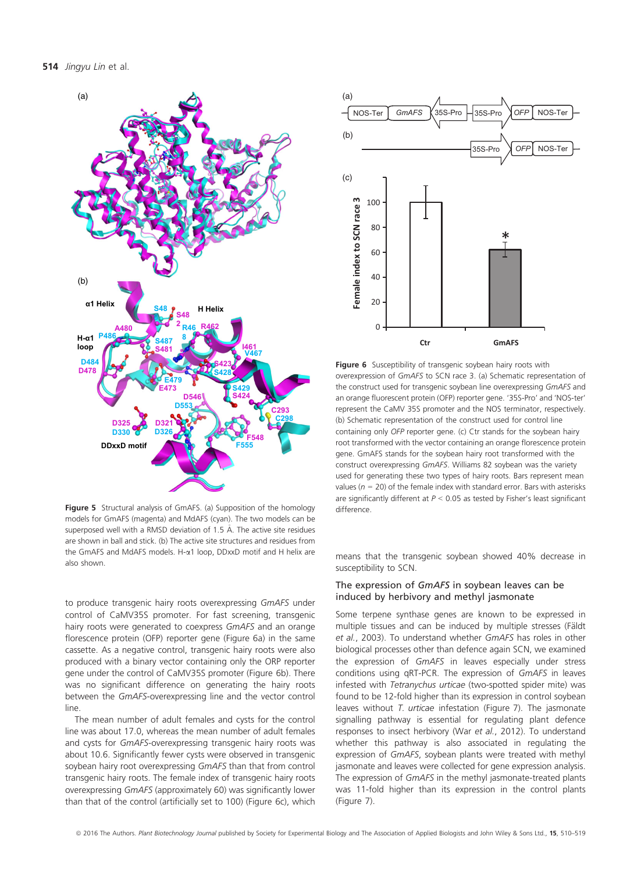

Figure 5 Structural analysis of GmAFS. (a) Supposition of the homology models for GmAFS (magenta) and MdAFS (cyan). The two models can be superposed well with a RMSD deviation of 1.5 Å. The active site residues are shown in ball and stick. (b) The active site structures and residues from the GmAFS and MdAFS models. H- $\alpha$ 1 loop, DDxxD motif and H helix are also shown.

to produce transgenic hairy roots overexpressing GmAFS under control of CaMV35S promoter. For fast screening, transgenic hairy roots were generated to coexpress GmAFS and an orange florescence protein (OFP) reporter gene (Figure 6a) in the same cassette. As a negative control, transgenic hairy roots were also produced with a binary vector containing only the ORP reporter gene under the control of CaMV35S promoter (Figure 6b). There was no significant difference on generating the hairy roots between the GmAFS-overexpressing line and the vector control line.

The mean number of adult females and cysts for the control line was about 17.0, whereas the mean number of adult females and cysts for GmAFS-overexpressing transgenic hairy roots was about 10.6. Significantly fewer cysts were observed in transgenic soybean hairy root overexpressing GmAFS than that from control transgenic hairy roots. The female index of transgenic hairy roots overexpressing GmAFS (approximately 60) was significantly lower than that of the control (artificially set to 100) (Figure 6c), which



Figure 6 Susceptibility of transgenic soybean hairy roots with overexpression of GmAFS to SCN race 3. (a) Schematic representation of the construct used for transgenic soybean line overexpressing GmAFS and an orange fluorescent protein (OFP) reporter gene. '35S-Pro' and 'NOS-ter' represent the CaMV 35S promoter and the NOS terminator, respectively. (b) Schematic representation of the construct used for control line containing only OFP reporter gene. (c) Ctr stands for the soybean hairy root transformed with the vector containing an orange florescence protein gene. GmAFS stands for the soybean hairy root transformed with the construct overexpressing GmAFS. Williams 82 soybean was the variety used for generating these two types of hairy roots. Bars represent mean values ( $n = 20$ ) of the female index with standard error. Bars with asterisks are significantly different at  $P < 0.05$  as tested by Fisher's least significant difference.

means that the transgenic soybean showed 40% decrease in susceptibility to SCN.

#### The expression of GmAFS in soybean leaves can be induced by herbivory and methyl jasmonate

Some terpene synthase genes are known to be expressed in multiple tissues and can be induced by multiple stresses (Fäldt et al., 2003). To understand whether GmAFS has roles in other biological processes other than defence again SCN, we examined the expression of GmAFS in leaves especially under stress conditions using qRT-PCR. The expression of GmAFS in leaves infested with Tetranychus urticae (two-spotted spider mite) was found to be 12-fold higher than its expression in control soybean leaves without T. urticae infestation (Figure 7). The jasmonate signalling pathway is essential for regulating plant defence responses to insect herbivory (War et al., 2012). To understand whether this pathway is also associated in regulating the expression of GmAFS, soybean plants were treated with methyl jasmonate and leaves were collected for gene expression analysis. The expression of GmAFS in the methyl jasmonate-treated plants was 11-fold higher than its expression in the control plants (Figure 7).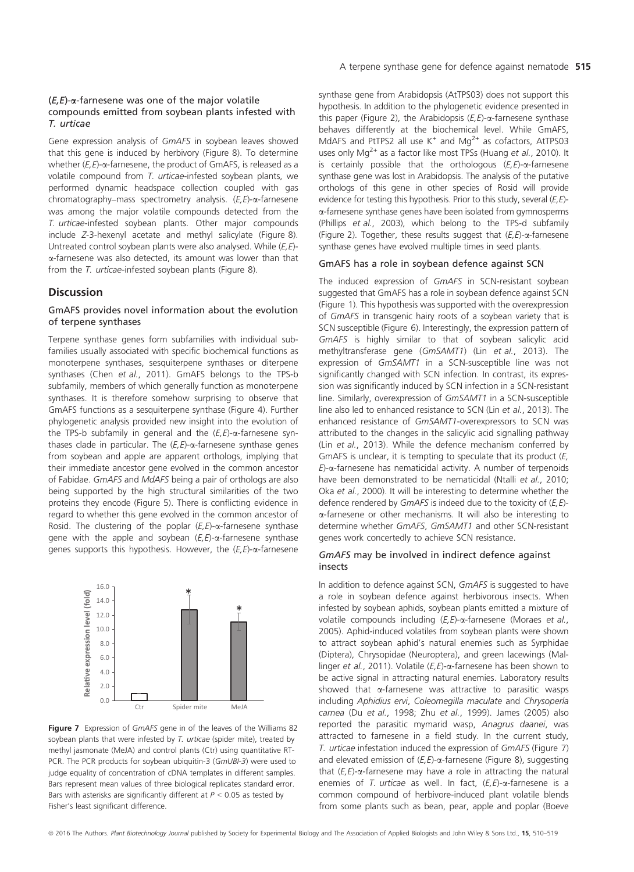#### $(E,E)$ - $\alpha$ -farnesene was one of the major volatile compounds emitted from soybean plants infested with T. urticae

Gene expression analysis of GmAFS in soybean leaves showed that this gene is induced by herbivory (Figure 8). To determine whether  $(E, E)$ - $\alpha$ -farnesene, the product of GmAFS, is released as a volatile compound from T. urticae-infested soybean plants, we performed dynamic headspace collection coupled with gas chromatography–mass spectrometry analysis. (E,E)-a-farnesene was among the major volatile compounds detected from the T. urticae-infested soybean plants. Other major compounds include Z-3-hexenyl acetate and methyl salicylate (Figure 8). Untreated control soybean plants were also analysed. While (E,E) a-farnesene was also detected, its amount was lower than that from the T. *urticae*-infested soybean plants (Figure 8).

#### **Discussion**

#### GmAFS provides novel information about the evolution of terpene synthases

Terpene synthase genes form subfamilies with individual subfamilies usually associated with specific biochemical functions as monoterpene synthases, sesquiterpene synthases or diterpene synthases (Chen et al., 2011). GmAFS belongs to the TPS-b subfamily, members of which generally function as monoterpene synthases. It is therefore somehow surprising to observe that GmAFS functions as a sesquiterpene synthase (Figure 4). Further phylogenetic analysis provided new insight into the evolution of the TPS-b subfamily in general and the  $(E, E)$ - $\alpha$ -farnesene synthases clade in particular. The  $(E, E)$ - $\alpha$ -farnesene synthase genes from soybean and apple are apparent orthologs, implying that their immediate ancestor gene evolved in the common ancestor of Fabidae. GmAFS and MdAFS being a pair of orthologs are also being supported by the high structural similarities of the two proteins they encode (Figure 5). There is conflicting evidence in regard to whether this gene evolved in the common ancestor of Rosid. The clustering of the poplar  $(E,E)$ - $\alpha$ -farnesene synthase gene with the apple and soybean  $(E, E)$ - $\alpha$ -farnesene synthase genes supports this hypothesis. However, the  $(E, E)$ - $\alpha$ -farnesene



Figure 7 Expression of GmAFS gene in of the leaves of the Williams 82 soybean plants that were infested by  $T$ . urticae (spider mite), treated by methyl jasmonate (MeJA) and control plants (Ctr) using quantitative RT-PCR. The PCR products for soybean ubiquitin-3 (GmUBI-3) were used to judge equality of concentration of cDNA templates in different samples. Bars represent mean values of three biological replicates standard error. Bars with asterisks are significantly different at  $P < 0.05$  as tested by Fisher's least significant difference.

synthase gene from Arabidopsis (AtTPS03) does not support this hypothesis. In addition to the phylogenetic evidence presented in this paper (Figure 2), the Arabidopsis  $(E, E)$ - $\alpha$ -farnesene synthase behaves differently at the biochemical level. While GmAFS, MdAFS and PtTPS2 all use  $K^+$  and Mg<sup>2+</sup> as cofactors, AtTPS03 uses only  $Mq^{2+}$  as a factor like most TPSs (Huang et al., 2010). It is certainly possible that the orthologous  $(E, E)$ - $\alpha$ -farnesene synthase gene was lost in Arabidopsis. The analysis of the putative orthologs of this gene in other species of Rosid will provide evidence for testing this hypothesis. Prior to this study, several (E,E)a-farnesene synthase genes have been isolated from gymnosperms (Phillips et al., 2003), which belong to the TPS-d subfamily (Figure 2). Together, these results suggest that  $(E, E)$ - $\alpha$ -farnesene synthase genes have evolved multiple times in seed plants.

#### GmAFS has a role in soybean defence against SCN

The induced expression of GmAFS in SCN-resistant soybean suggested that GmAFS has a role in soybean defence against SCN (Figure 1). This hypothesis was supported with the overexpression of GmAFS in transgenic hairy roots of a soybean variety that is SCN susceptible (Figure 6). Interestingly, the expression pattern of GmAFS is highly similar to that of soybean salicylic acid methyltransferase gene (GmSAMT1) (Lin et al., 2013). The expression of GmSAMT1 in a SCN-susceptible line was not significantly changed with SCN infection. In contrast, its expression was significantly induced by SCN infection in a SCN-resistant line. Similarly, overexpression of GmSAMT1 in a SCN-susceptible line also led to enhanced resistance to SCN (Lin et al., 2013). The enhanced resistance of GmSAMT1-overexpressors to SCN was attributed to the changes in the salicylic acid signalling pathway (Lin et al., 2013). While the defence mechanism conferred by GmAFS is unclear, it is tempting to speculate that its product (E,  $E$ )- $\alpha$ -farnesene has nematicidal activity. A number of terpenoids have been demonstrated to be nematicidal (Ntalli et al., 2010; Oka et al., 2000). It will be interesting to determine whether the defence rendered by  $GmAFS$  is indeed due to the toxicity of  $(E,E)$ a-farnesene or other mechanisms. It will also be interesting to determine whether GmAFS, GmSAMT1 and other SCN-resistant genes work concertedly to achieve SCN resistance.

#### GmAFS may be involved in indirect defence against insects

In addition to defence against SCN, GmAFS is suggested to have a role in soybean defence against herbivorous insects. When infested by soybean aphids, soybean plants emitted a mixture of volatile compounds including  $(E, E)$ - $\alpha$ -farnesene (Moraes et al., 2005). Aphid-induced volatiles from soybean plants were shown to attract soybean aphid's natural enemies such as Syrphidae (Diptera), Chrysopidae (Neuroptera), and green lacewings (Mallinger et al., 2011). Volatile  $(E, E)$ - $\alpha$ -farnesene has been shown to be active signal in attracting natural enemies. Laboratory results showed that  $\alpha$ -farnesene was attractive to parasitic wasps including Aphidius ervi, Coleomegilla maculate and Chrysoperla carnea (Du et al., 1998; Zhu et al., 1999). James (2005) also reported the parasitic mymarid wasp, Anagrus daanei, was attracted to farnesene in a field study. In the current study, T. urticae infestation induced the expression of GmAFS (Figure 7) and elevated emission of  $(E, E)$ - $\alpha$ -farnesene (Figure 8), suggesting that  $(E, E)$ - $\alpha$ -farnesene may have a role in attracting the natural enemies of T. urticae as well. In fact,  $(E, E)$ - $\alpha$ -farnesene is a common compound of herbivore-induced plant volatile blends from some plants such as bean, pear, apple and poplar (Boeve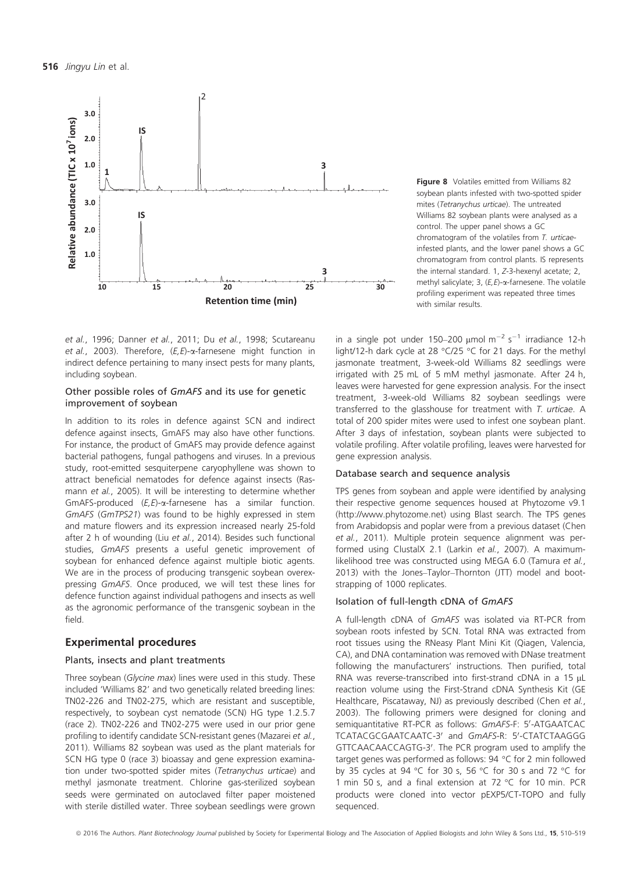

et al., 1996; Danner et al., 2011; Du et al., 1998; Scutareanu et al., 2003). Therefore,  $(E, E)$ - $\alpha$ -farnesene might function in indirect defence pertaining to many insect pests for many plants, including soybean.

#### Other possible roles of GmAFS and its use for genetic improvement of soybean

In addition to its roles in defence against SCN and indirect defence against insects, GmAFS may also have other functions. For instance, the product of GmAFS may provide defence against bacterial pathogens, fungal pathogens and viruses. In a previous study, root-emitted sesquiterpene caryophyllene was shown to attract beneficial nematodes for defence against insects (Rasmann et al., 2005). It will be interesting to determine whether GmAFS-produced  $(E, E)$ - $\alpha$ -farnesene has a similar function. GmAFS (GmTPS21) was found to be highly expressed in stem and mature flowers and its expression increased nearly 25-fold after 2 h of wounding (Liu et al., 2014). Besides such functional studies, GmAFS presents a useful genetic improvement of soybean for enhanced defence against multiple biotic agents. We are in the process of producing transgenic soybean overexpressing GmAFS. Once produced, we will test these lines for defence function against individual pathogens and insects as well as the agronomic performance of the transgenic soybean in the field.

#### Experimental procedures

#### Plants, insects and plant treatments

Three soybean (Glycine max) lines were used in this study. These included 'Williams 82' and two genetically related breeding lines: TN02-226 and TN02-275, which are resistant and susceptible, respectively, to soybean cyst nematode (SCN) HG type 1.2.5.7 (race 2). TN02-226 and TN02-275 were used in our prior gene profiling to identify candidate SCN-resistant genes (Mazarei et al., 2011). Williams 82 soybean was used as the plant materials for SCN HG type 0 (race 3) bioassay and gene expression examination under two-spotted spider mites (Tetranychus urticae) and methyl jasmonate treatment. Chlorine gas-sterilized soybean seeds were germinated on autoclaved filter paper moistened with sterile distilled water. Three soybean seedlings were grown Figure 8 Volatiles emitted from Williams 82 soybean plants infested with two-spotted spider mites (Tetranychus urticae). The untreated Williams 82 soybean plants were analysed as a control. The upper panel shows a GC chromatogram of the volatiles from T. urticaeinfested plants, and the lower panel shows a GC chromatogram from control plants. IS represents the internal standard. 1, Z-3-hexenyl acetate; 2, methyl salicylate; 3,  $(E, E)$ - $\alpha$ -farnesene. The volatile profiling experiment was repeated three times with similar results.

in a single pot under 150–200  $\mu$ mol m<sup>-2</sup> s<sup>-1</sup> irradiance 12-h light/12-h dark cycle at 28 °C/25 °C for 21 days. For the methyl jasmonate treatment, 3-week-old Williams 82 seedlings were irrigated with 25 mL of 5 mM methyl jasmonate. After 24 h, leaves were harvested for gene expression analysis. For the insect treatment, 3-week-old Williams 82 soybean seedlings were transferred to the glasshouse for treatment with T. urticae. A total of 200 spider mites were used to infest one soybean plant. After 3 days of infestation, soybean plants were subjected to volatile profiling. After volatile profiling, leaves were harvested for gene expression analysis.

#### Database search and sequence analysis

TPS genes from soybean and apple were identified by analysing their respective genome sequences housed at Phytozome v9.1 ([http://www.phytozome.net\)](http://www.phytozome.net) using Blast search. The TPS genes from Arabidopsis and poplar were from a previous dataset (Chen et al., 2011). Multiple protein sequence alignment was performed using ClustalX 2.1 (Larkin et al., 2007). A maximumlikelihood tree was constructed using MEGA 6.0 (Tamura et al., 2013) with the Jones–Taylor–Thornton (JTT) model and bootstrapping of 1000 replicates.

#### Isolation of full-length cDNA of GmAFS

A full-length cDNA of GmAFS was isolated via RT-PCR from soybean roots infested by SCN. Total RNA was extracted from root tissues using the RNeasy Plant Mini Kit (Qiagen, Valencia, CA), and DNA contamination was removed with DNase treatment following the manufacturers' instructions. Then purified, total RNA was reverse-transcribed into first-strand cDNA in a 15  $\mu$ L reaction volume using the First-Strand cDNA Synthesis Kit (GE Healthcare, Piscataway, NJ) as previously described (Chen et al., 2003). The following primers were designed for cloning and semiquantitative RT-PCR as follows: GmAFS-F: 5'-ATGAATCAC TCATACGCGAATCAATC-3' and GmAFS-R: 5'-CTATCTAAGGG GTTCAACAACCAGTG-3'. The PCR program used to amplify the target genes was performed as follows: 94 °C for 2 min followed by 35 cycles at 94 °C for 30 s, 56 °C for 30 s and 72 °C for 1 min 50 s, and a final extension at 72 °C for 10 min. PCR products were cloned into vector pEXP5/CT-TOPO and fully sequenced.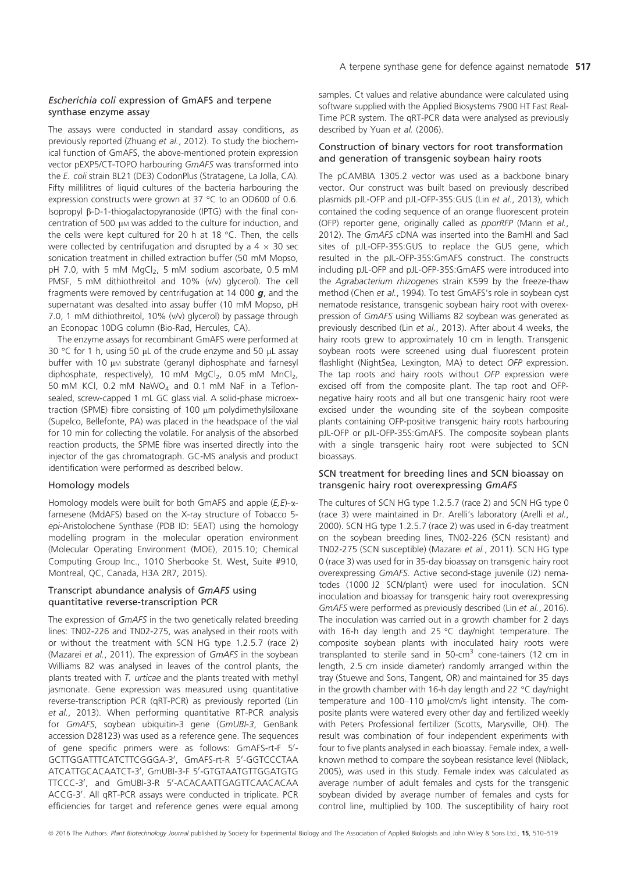#### Escherichia coli expression of GmAFS and terpene synthase enzyme assay

The assays were conducted in standard assay conditions, as previously reported (Zhuang et al., 2012). To study the biochemical function of GmAFS, the above-mentioned protein expression vector pEXP5/CT-TOPO harbouring GmAFS was transformed into the E. coli strain BL21 (DE3) CodonPlus (Stratagene, La Jolla, CA). Fifty millilitres of liquid cultures of the bacteria harbouring the expression constructs were grown at 37 °C to an OD600 of 0.6. Isopropyl b-D-1-thiogalactopyranoside (IPTG) with the final concentration of 500  $\mu$ M was added to the culture for induction, and the cells were kept cultured for 20 h at 18 °C. Then, the cells were collected by centrifugation and disrupted by a  $4 \times 30$  sec sonication treatment in chilled extraction buffer (50 mM Mopso, pH 7.0, with 5 mM  $MgCl<sub>2</sub>$ , 5 mM sodium ascorbate, 0.5 mM PMSF, 5 mM dithiothreitol and 10% (v/v) glycerol). The cell fragments were removed by centrifugation at 14 000  $g$ , and the supernatant was desalted into assay buffer (10 mM Mopso, pH 7.0, 1 mM dithiothreitol, 10% (v/v) glycerol) by passage through an Econopac 10DG column (Bio-Rad, Hercules, CA).

The enzyme assays for recombinant GmAFS were performed at 30 °C for 1 h, using 50  $\mu$ L of the crude enzyme and 50  $\mu$ L assay buffer with 10  $\mu$ M substrate (geranyl diphosphate and farnesyl diphosphate, respectively), 10 mM  $MqCl<sub>2</sub>$ , 0.05 mM  $MnCl<sub>2</sub>$ , 50 mM KCl, 0.2 mM  $NaWO<sub>4</sub>$  and 0.1 mM NaF in a Teflonsealed, screw-capped 1 mL GC glass vial. A solid-phase microextraction (SPME) fibre consisting of 100 µm polydimethylsiloxane (Supelco, Bellefonte, PA) was placed in the headspace of the vial for 10 min for collecting the volatile. For analysis of the absorbed reaction products, the SPME fibre was inserted directly into the injector of the gas chromatograph. GC-MS analysis and product identification were performed as described below.

#### Homology models

Homology models were built for both GmAFS and apple  $(E, E)$ - $\alpha$ farnesene (MdAFS) based on the X-ray structure of Tobacco 5 epi-Aristolochene Synthase (PDB ID: 5EAT) using the homology modelling program in the molecular operation environment (Molecular Operating Environment (MOE), 2015.10; Chemical Computing Group Inc., 1010 Sherbooke St. West, Suite #910, Montreal, QC, Canada, H3A 2R7, 2015).

#### Transcript abundance analysis of GmAFS using quantitative reverse-transcription PCR

The expression of GmAFS in the two genetically related breeding lines: TN02-226 and TN02-275, was analysed in their roots with or without the treatment with SCN HG type 1.2.5.7 (race 2) (Mazarei et al., 2011). The expression of GmAFS in the soybean Williams 82 was analysed in leaves of the control plants, the plants treated with T. urticae and the plants treated with methyl jasmonate. Gene expression was measured using quantitative reverse-transcription PCR (qRT-PCR) as previously reported (Lin et al., 2013). When performing quantitative RT-PCR analysis for GmAFS, soybean ubiquitin-3 gene (GmUBI-3, GenBank accession D28123) was used as a reference gene. The sequences of gene specific primers were as follows: GmAFS-rt-F 5'-GCTTGGATTTCATCTTCGGGA-3<sup>0</sup> , GmAFS-rt-R 5<sup>0</sup> -GGTCCCTAA ATCATTGCACAATCT-3', GmUBI-3-F 5'-GTGTAATGTTGGATGTG TTCCC-3', and GmUBI-3-R 5'-ACACAATTGAGTTCAACACAA ACCG-3'. All qRT-PCR assays were conducted in triplicate. PCR efficiencies for target and reference genes were equal among

samples. Ct values and relative abundance were calculated using software supplied with the Applied Biosystems 7900 HT Fast Real-Time PCR system. The qRT-PCR data were analysed as previously described by Yuan et al. (2006).

#### Construction of binary vectors for root transformation and generation of transgenic soybean hairy roots

The pCAMBIA 1305.2 vector was used as a backbone binary vector. Our construct was built based on previously described plasmids pJL-OFP and pJL-OFP-35S:GUS (Lin et al., 2013), which contained the coding sequence of an orange fluorescent protein (OFP) reporter gene, originally called as pporRFP (Mann et al., 2012). The GmAFS cDNA was inserted into the BamHI and SacI sites of pJL-OFP-35S:GUS to replace the GUS gene, which resulted in the pJL-OFP-35S:GmAFS construct. The constructs including pJL-OFP and pJL-OFP-35S:GmAFS were introduced into the Agrabacterium rhizogenes strain K599 by the freeze-thaw method (Chen et al., 1994). To test GmAFS's role in soybean cyst nematode resistance, transgenic soybean hairy root with overexpression of GmAFS using Williams 82 soybean was generated as previously described (Lin et al., 2013). After about 4 weeks, the hairy roots grew to approximately 10 cm in length. Transgenic soybean roots were screened using dual fluorescent protein flashlight (NightSea, Lexington, MA) to detect OFP expression. The tap roots and hairy roots without OFP expression were excised off from the composite plant. The tap root and OFPnegative hairy roots and all but one transgenic hairy root were excised under the wounding site of the soybean composite plants containing OFP-positive transgenic hairy roots harbouring pJL-OFP or pJL-OFP-35S:GmAFS. The composite soybean plants with a single transgenic hairy root were subjected to SCN bioassays.

#### SCN treatment for breeding lines and SCN bioassay on transgenic hairy root overexpressing GmAFS

The cultures of SCN HG type 1.2.5.7 (race 2) and SCN HG type 0 (race 3) were maintained in Dr. Arelli's laboratory (Arelli et al., 2000). SCN HG type 1.2.5.7 (race 2) was used in 6-day treatment on the soybean breeding lines, TN02-226 (SCN resistant) and TN02-275 (SCN susceptible) (Mazarei et al., 2011). SCN HG type 0 (race 3) was used for in 35-day bioassay on transgenic hairy root overexpressing GmAFS. Active second-stage juvenile (J2) nematodes (1000 J2 SCN/plant) were used for inoculation. SCN inoculation and bioassay for transgenic hairy root overexpressing GmAFS were performed as previously described (Lin et al., 2016). The inoculation was carried out in a growth chamber for 2 days with 16-h day length and 25 °C day/night temperature. The composite soybean plants with inoculated hairy roots were transplanted to sterile sand in  $50$ -cm<sup>3</sup> cone-tainers (12 cm in length, 2.5 cm inside diameter) randomly arranged within the tray (Stuewe and Sons, Tangent, OR) and maintained for 35 days in the growth chamber with 16-h day length and 22 °C day/night temperature and 100-110 µmol/cm/s light intensity. The composite plants were watered every other day and fertilized weekly with Peters Professional fertilizer (Scotts, Marysville, OH). The result was combination of four independent experiments with four to five plants analysed in each bioassay. Female index, a wellknown method to compare the soybean resistance level (Niblack, 2005), was used in this study. Female index was calculated as average number of adult females and cysts for the transgenic soybean divided by average number of females and cysts for control line, multiplied by 100. The susceptibility of hairy root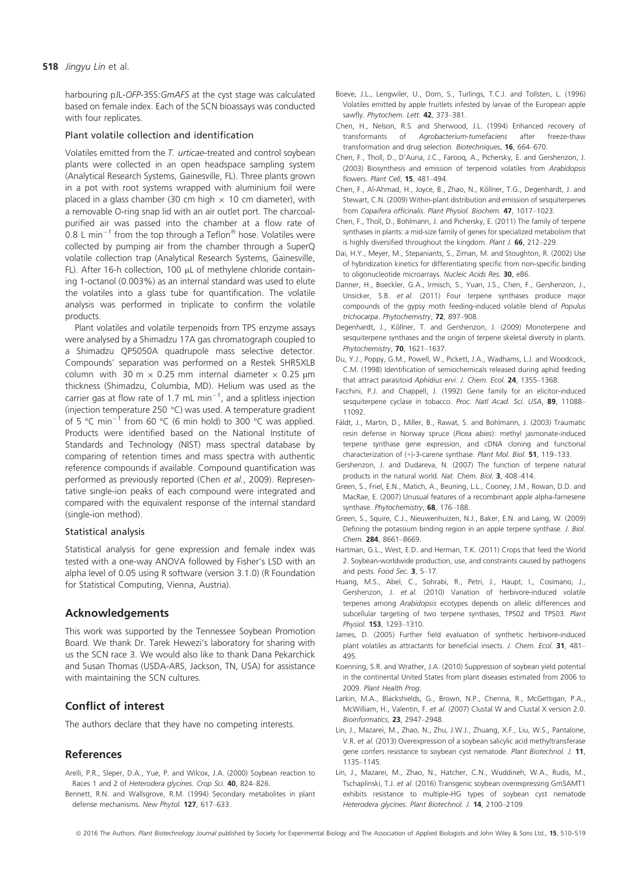#### 518 Jingyu Lin et al.

harbouring pJL-OFP-35S:GmAFS at the cyst stage was calculated based on female index. Each of the SCN bioassays was conducted with four replicates.

#### Plant volatile collection and identification

Volatiles emitted from the T. urticae-treated and control soybean plants were collected in an open headspace sampling system (Analytical Research Systems, Gainesville, FL). Three plants grown in a pot with root systems wrapped with aluminium foil were placed in a glass chamber (30 cm high  $\times$  10 cm diameter), with a removable O-ring snap lid with an air outlet port. The charcoalpurified air was passed into the chamber at a flow rate of 0.8 L min<sup>-1</sup> from the top through a Teflon<sup>®</sup> hose. Volatiles were collected by pumping air from the chamber through a SuperQ volatile collection trap (Analytical Research Systems, Gainesville, FL). After 16-h collection, 100 µL of methylene chloride containing 1-octanol (0.003%) as an internal standard was used to elute the volatiles into a glass tube for quantification. The volatile analysis was performed in triplicate to confirm the volatile products.

Plant volatiles and volatile terpenoids from TPS enzyme assays were analysed by a Shimadzu 17A gas chromatograph coupled to a Shimadzu QP5050A quadrupole mass selective detector. Compounds' separation was performed on a Restek SHR5XLB column with 30 m  $\times$  0.25 mm internal diameter  $\times$  0.25 µm thickness (Shimadzu, Columbia, MD). Helium was used as the carrier gas at flow rate of 1.7 mL min<sup>-1</sup>, and a splitless injection (injection temperature 250 °C) was used. A temperature gradient of 5  $\degree$ C min<sup>-1</sup> from 60  $\degree$ C (6 min hold) to 300  $\degree$ C was applied. Products were identified based on the National Institute of Standards and Technology (NIST) mass spectral database by comparing of retention times and mass spectra with authentic reference compounds if available. Compound quantification was performed as previously reported (Chen et al., 2009). Representative single-ion peaks of each compound were integrated and compared with the equivalent response of the internal standard (single-ion method).

#### Statistical analysis

Statistical analysis for gene expression and female index was tested with a one-way ANOVA followed by Fisher's LSD with an alpha level of 0.05 using R software (version 3.1.0) (R Foundation for Statistical Computing, Vienna, Austria).

### Acknowledgements

This work was supported by the Tennessee Soybean Promotion Board. We thank Dr. Tarek Hewezi's laboratory for sharing with us the SCN race 3. We would also like to thank Dana Pekarchick and Susan Thomas (USDA-ARS, Jackson, TN, USA) for assistance with maintaining the SCN cultures.

## Conflict of interest

The authors declare that they have no competing interests.

## References

- Arelli, P.R., Sleper, D.A., Yue, P. and Wilcox, J.A. (2000) Soybean reaction to Races 1 and 2 of Heterodera glycines. Crop Sci. 40, 824-826.
- Bennett, R.N. and Wallsgrove, R.M. (1994) Secondary metabolites in plant defense mechanisms. New Phytol. 127, 617-633.
- Boeve, J.L., Lengwiler, U., Dorn, S., Turlings, T.C.J. and Tollsten, L. (1996) Volatiles emitted by apple fruitlets infested by larvae of the European apple sawfly. Phytochem. Lett. 42, 373-381.
- Chen, H., Nelson, R.S. and Sherwood, J.L. (1994) Enhanced recovery of transformants of Agrobacterium-tumefaciens after freeze-thaw transformation and drug selection. Biotechniques, 16, 664–670.
- Chen, F., Tholl, D., D'Auria, J.C., Farooq, A., Pichersky, E. and Gershenzon, J. (2003) Biosynthesis and emission of terpenoid volatiles from Arabidopsis flowers. Plant Cell, 15, 481–494.
- Chen, F., Al-Ahmad, H., Joyce, B., Zhao, N., Kollner, T.G., Degenhardt, J. and € Stewart, C.N. (2009) Within-plant distribution and emission of sesquiterpenes from Copaifera officinalis. Plant Physiol. Biochem. 47, 1017–1023.
- Chen, F., Tholl, D., Bohlmann, J. and Pichersky, E. (2011) The family of terpene synthases in plants: a mid-size family of genes for specialized metabolism that is highly diversified throughout the kingdom. Plant J. 66, 212–229.
- Dai, H.Y., Meyer, M., Stepaniants, S., Ziman, M. and Stoughton, R. (2002) Use of hybridization kinetics for differentiating specific from non-specific binding to oligonucleotide microarrays. Nucleic Acids Res. 30, e86.
- Danner, H., Boeckler, G.A., Irmisch, S., Yuan, J.S., Chen, F., Gershenzon, J., Unsicker, S.B. et al. (2011) Four terpene synthases produce major compounds of the gypsy moth feeding-induced volatile blend of Populus trichocarpa. Phytochemistry, 72, 897–908.
- Degenhardt, J., Köllner, T. and Gershenzon, J. (2009) Monoterpene and sesquiterpene synthases and the origin of terpene skeletal diversity in plants. Phytochemistry, 70, 1621–1637.
- Du, Y.J., Poppy, G.M., Powell, W., Pickett, J.A., Wadhams, L.J. and Woodcock, C.M. (1998) Identification of semiochemicals released during aphid feeding that attract parasitoid Aphidius ervi. J. Chem. Ecol. 24, 1355-1368.
- Facchini, P.J. and Chappell, J. (1992) Gene family for an elicitor-induced sesquiterpene cyclase in tobacco. Proc. Natl Acad. Sci. USA, 89, 11088-11092.
- Fäldt, J., Martin, D., Miller, B., Rawat, S. and Bohlmann, J. (2003) Traumatic resin defense in Norway spruce (Picea abies): methyl jasmonate-induced terpene synthase gene expression, and cDNA cloning and functional characterization of (+)-3-carene synthase. Plant Mol. Biol. 51, 119–133.
- Gershenzon, J. and Dudareva, N. (2007) The function of terpene natural products in the natural world. Nat. Chem. Biol. 3, 408–414.
- Green, S., Friel, E.N., Matich, A., Beuning, L.L., Cooney, J.M., Rowan, D.D. and MacRae, E. (2007) Unusual features of a recombinant apple alpha-farnesene synthase. Phytochemistry, 68, 176-188.
- Green, S., Squire, C.J., Nieuwenhuizen, N.J., Baker, E.N. and Laing, W. (2009) Defining the potassium binding region in an apple terpene synthase. J. Biol. Chem. 284, 8661–8669.
- Hartman, G.L., West, E.D. and Herman, T.K. (2011) Crops that feed the World 2. Soybean-worldwide production, use, and constraints caused by pathogens and pests. Food Sec. 3, 5–17.
- Huang, M.S., Abel, C., Sohrabi, R., Petri, J., Haupt, I., Cosimano, J., Gershenzon, J. et al. (2010) Variation of herbivore-induced volatile terpenes among Arabidopsis ecotypes depends on allelic differences and subcellular targeting of two terpene synthases, TPS02 and TPS03. Plant Physiol. 153, 1293–1310.
- James, D. (2005) Further field evaluation of synthetic herbivore-induced plant volatiles as attractants for beneficial insects. J. Chem. Ecol. 31, 481-495.
- Koenning, S.R. and Wrather, J.A. (2010) Suppression of soybean yield potential in the continental United States from plant diseases estimated from 2006 to 2009. Plant Health Prog.
- Larkin, M.A., Blackshields, G., Brown, N.P., Chenna, R., McGettigan, P.A., McWilliam, H., Valentin, F. et al. (2007) Clustal W and Clustal X version 2.0. Bioinformatics, 23, 2947–2948.
- Lin, J., Mazarei, M., Zhao, N., Zhu, J.W.J., Zhuang, X.F., Liu, W.S., Pantalone, V.R. et al. (2013) Overexpression of a soybean salicylic acid methyltransferase gene confers resistance to soybean cyst nematode. Plant Biotechnol. J. 11, 1135–1145.
- Lin, J., Mazarei, M., Zhao, N., Hatcher, C.N., Wuddineh, W.A., Rudis, M., Tschaplinski, T.J. et al. (2016) Transgenic soybean overexpressing GmSAMT1 exhibits resistance to multiple-HG types of soybean cyst nematode Heterodera glycines. Plant Biotechnol. J. 14, 2100-2109.